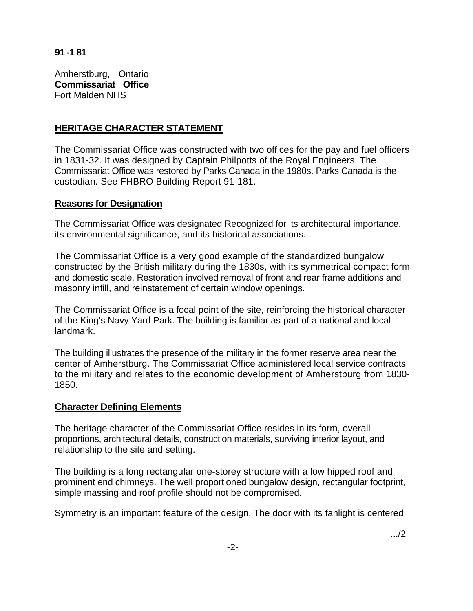**91 -1 81** 

Amherstburg, Ontario **Commissariat Office**  Fort Malden NHS

## **HERITAGE CHARACTER STATEMENT**

The Commissariat Office was constructed with two offices for the pay and fuel officers in 1831-32. It was designed by Captain Philpotts of the Royal Engineers. The Commissariat Office was restored by Parks Canada in the 1980s. Parks Canada is the custodian. See FHBRO Building Report 91-181.

## **Reasons for Designation**

The Commissariat Office was designated Recognized for its architectural importance, its environmental significance, and its historical associations.

The Commissariat Office is a very good example of the standardized bungalow constructed by the British military during the 1830s, with its symmetrical compact form and domestic scale. Restoration involved removal of front and rear frame additions and masonry infill, and reinstatement of certain window openings.

The Commissariat Office is a focal point of the site, reinforcing the historical character of the King's Navy Yard Park. The building is familiar as part of a national and local landmark.

The building illustrates the presence of the military in the former reserve area near the center of Amherstburg. The Commissariat Office administered local service contracts to the military and relates to the economic development of Amherstburg from 1830- 1850.

## **Character Defining Elements**

The heritage character of the Commissariat Office resides in its form, overall proportions, architectural details, construction materials, surviving interior layout, and relationship to the site and setting.

The building is a long rectangular one-storey structure with a low hipped roof and prominent end chimneys. The well proportioned bungalow design, rectangular footprint, simple massing and roof profile should not be compromised.

Symmetry is an important feature of the design. The door with its fanlight is centered

.../2